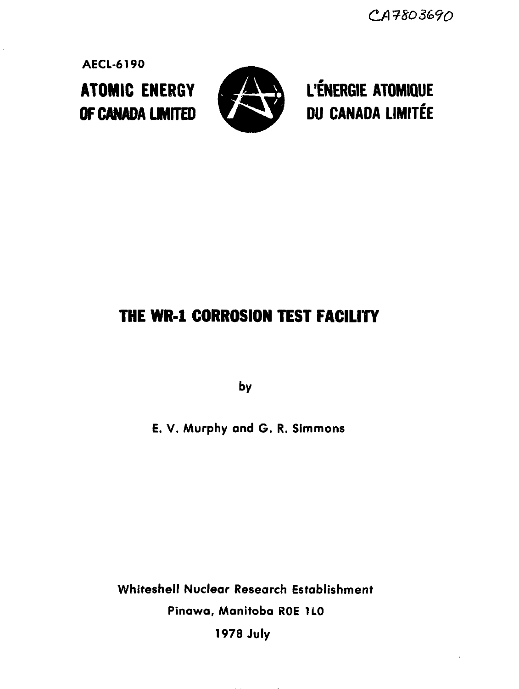CA7803690

**AECL-6190**



**ATOMIC ENERGY AND L'ÉNERGIE ATOMIQUE OF CANADA LIMITED WE DU CANADA LIMITÉE** 

# **THE WR-1 CORROSION TEST FACILITY**

**by**

**E. V. Murphy and G. R. Simmons**

**Whiteshell Nuclear Research Establishment Pinawa, Manitoba ROE HO 1978 July**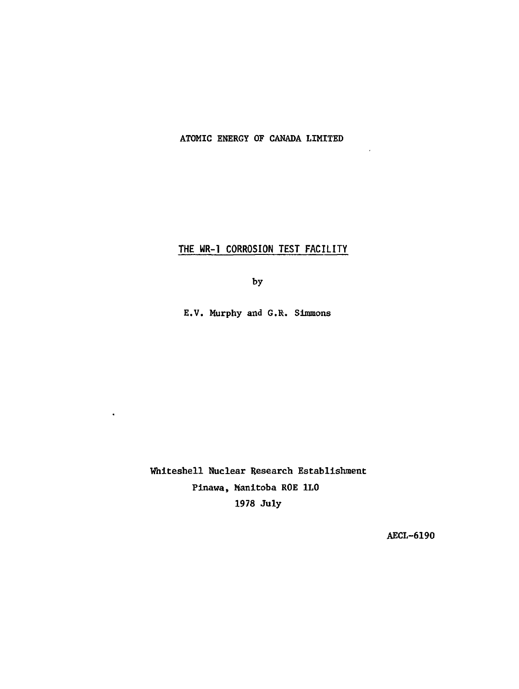## ATOMIC ENERGY OF CANADA LIMITED

 $\overline{\phantom{a}}$ 

## **THE MR-1 CORROSION TEST FACILITY**

by

E.V. Murphy and G.R. Simmons

Whiteshell Nuclear Research Establishment Pinawa, Manitoba ROE 1L0 1978 July

 $\bullet$ 

AECL-619O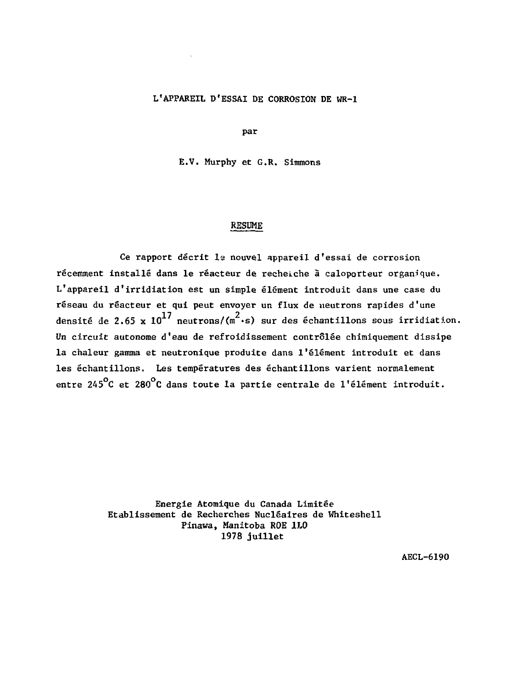## L'APPAREIL D'ESSAI DE CORROSION DE WR-1

par

E.V. Murphy et G.R. Simmons

#### RESUME

Ce rapport décrit la nouvel appareil d'essai de corrosion récemment installé dans le réacteur de recheiche à caloporteur organique. L'appareil d'irridiation est un simple élément introduit dans une case du réseau du réacteur et qui peut envoyer un flux de neutrons rapides d'une densité de 2.65 x  $10^{17}$  neutrons/(m<sup>2</sup>·s) sur des échantillons sous irridiation. Un circuit autonome d'eau de refroidissement contrôlée chimiquement dissipe la chaleur gamma et neutronique produite dans l'élément introduit et dans les échantillons. Les températures des échantillons varient normalement entre 245<sup>°</sup>C et 280<sup>°</sup>C dans toute la partie centrale de l'élément introduit.

> Energie Atomique du Canada Limitée Etablissement de Recherches Nucléaires de Whiteshell Pinawa, Manitoba ROE 1L0 1978 juillet

> > AECL-6190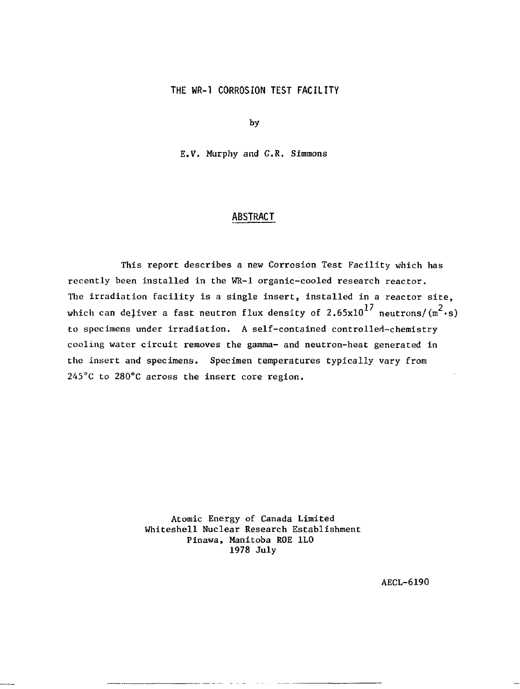#### **THE WR-1 CORROSION TEST FACILITY**

by

E.V. Murphy and G.R. Simmons

#### **ABSTRACT**

This report describes a new Corrosion Test Facility which has recently been installed in the WR-1 organic-cooled research reactor. The irradiation facility is a single insert, installed in a reactor site, which can deliver a fast neutron flux density of  $2.65 \times 10^{17}$  neutrons/ $(m^2 \cdot s)$ to specimens under irradiation. A self-contained controlled-chemistry cooling water circuit removes the gamma- and neutron-heat generated in the insert and specimens. Specimen temperatures typically vary from 245°C to 280°C across the insert core region.

> Atomic Energy of Canada Limited Whiteshell Nuclear Research Establishment Pinawa, Manitoba ROE 1L0 1978 July

> > AECL-6190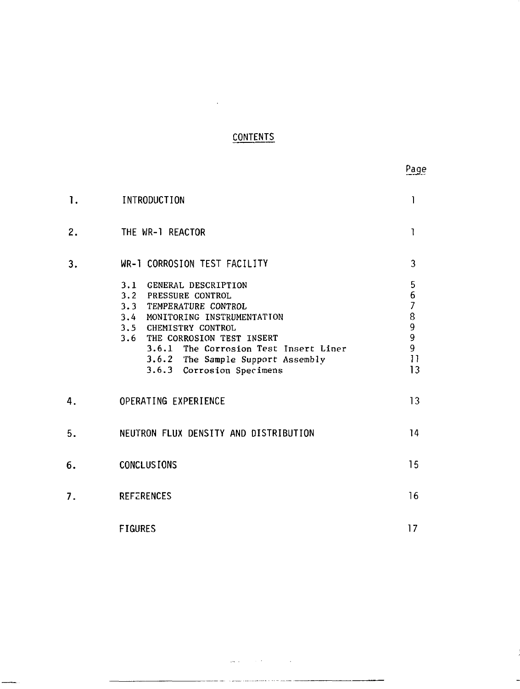## **CONTENTS**

 $\sim 10^{-10}$ 

| 1. | INTRODUCTION                                                                                                                                                                                                                                                                      | Ί                                                                  |
|----|-----------------------------------------------------------------------------------------------------------------------------------------------------------------------------------------------------------------------------------------------------------------------------------|--------------------------------------------------------------------|
| 2. | THE WR-1 REACTOR                                                                                                                                                                                                                                                                  | 1                                                                  |
| 3. | WR-1 CORROSION TEST FACILITY                                                                                                                                                                                                                                                      | 3                                                                  |
|    | 3.1 GENERAL DESCRIPTION<br>3.2 PRESSURE CONTROL<br>3.3 TEMPERATURE CONTROL<br>3.4 MONITORING INSTRUMENTATION<br>3.5 CHEMISTRY CONTROL<br>3.6 THE CORROSION TEST INSERT<br>3.6.1 The Corrosion Test Insert Liner<br>3.6.2 The Sample Support Assembly<br>3.6.3 Corrosion Specimens | 5<br>6<br>$\overline{7}$<br>8<br>9<br>9<br>9<br>$\mathbf{1}$<br>13 |
| 4. | OPERATING EXPERIENCE                                                                                                                                                                                                                                                              | 13                                                                 |
| 5. | NEUTRON FLUX DENSITY AND DISTRIBUTION                                                                                                                                                                                                                                             | 14                                                                 |
| 6. | <b>CONCLUSIONS</b>                                                                                                                                                                                                                                                                | 15                                                                 |
| 7. | <b>REFERENCES</b>                                                                                                                                                                                                                                                                 | 16                                                                 |
|    | <b>FIGURES</b>                                                                                                                                                                                                                                                                    | 17                                                                 |

 $\Delta\mathbf{w}$  and  $\mathbf{w}$  are  $\mathbf{w}$  and  $\mathbf{w}$  . The  $\mathbf{w}$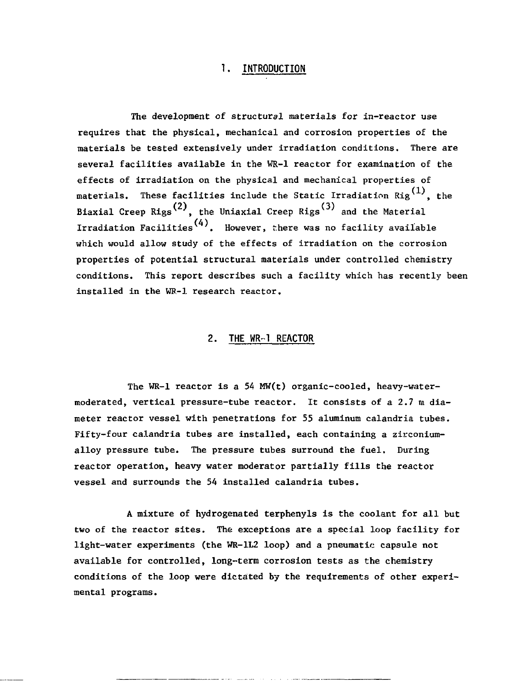## **1. INTRODUCTION**

The development of structural materials for in-reactor use requires that the physical, mechanical and corrosion properties of the materials be tested extensively under irradiation conditions. There are several facilities available in the WR-1 reactor for examination of the effects of irradiation on the physical and mechanical properties of materials. These facilities include the Static Irradiation  $\text{Rig}^{\text{(1)}}$ , the Biaxial Creep Rigs<sup>(2)</sup>, the Uniaxial Creep Rigs<sup>(3)</sup> and the Material Irradiation Facilities<sup>(4)</sup>. However, there was no facility available which would allow study of the effects of irradiation on the corrosion properties of potential structural materials under controlled chemistry conditions. This report describes such a facility which has recently been installed in the WR-1 research reactor.

#### **2. THE WR-1 REACTOR**

The WR-1 reactor is a 54 MW(t) organic-cooled, heavy-watermoderated, vertical pressure-tube reactor. It consists of a 2.7 m diameter reactor vessel with penetrations for 55 aluminum calandria tubes. Fifty-four calandria tubes are installed, each containing a zirconiumalloy pressure tube. The pressure tubes surround the fuel. During reactor operation, heavy water moderator partially fills the reactor vessel and surrounds the 54 installed calandria tubes.

A mixture of hydrogenated terphenyls is the coolant for all but two of the reactor sites. The exceptions are a special loop facility for light-water experiments (the WR-1L2 loop) and a pneumatic capsule not available for controlled, long-term corrosion tests as the chemistry conditions of the loop were dictated by the requirements of other experimental programs.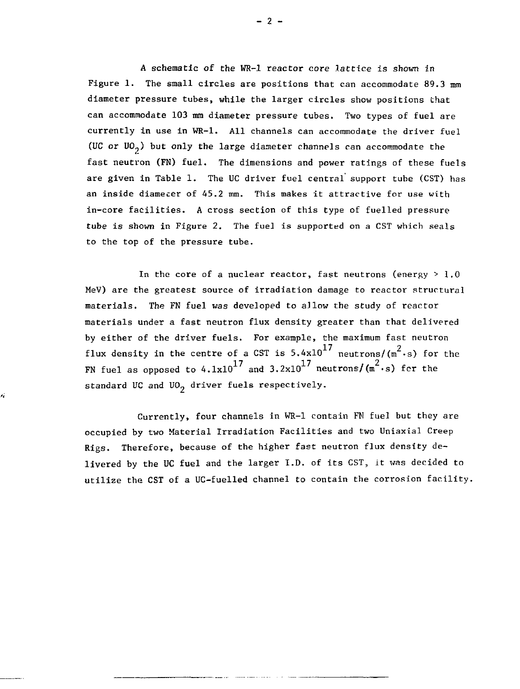A schematic of the WR-1 reactor core lattice is shown in Figure 1. The small circles are positions that can accommodate  $89.3 \text{ mm}$ diameter pressure tubes, while the larger circles show positions that can accommodate 103 mm diameter pressure tubes. Two types of fuel are currently In use in WR-1. All channels can accommodate the driver fuel (UC or  $UO<sub>2</sub>$ ) but only the large diameter channels can accommodate the fast neutron (FN) fuel. The dimensions and power ratings of these fuels are given in Table 1. The UC driver fuel central support tube (CST) has an inside diameter of 45.2 mm. This makes it attractive for use with in-core facilities. A cross section of this type of fuelled pressure tube is shown in Figure 2. The fuel is supported on a CST which seals to the top of the pressure tube.

In the core of a nuclear reactor, fast neutrons (energy  $> 1.0$ MeV) are the greatest source of irradiation damage to reactor structural materials. The FN fuel was developed to allow the study of reactor materials under a fast neutron flux density greater than that delivered by either of the driver fuels. For example, the maximum fast neutron flux density in the centre of a CST is 5.4x10<sup>17</sup> neutrons/( $\pi^2$ ·s) for the flux density in the centre of a CST is 5.4x10 medellons/(m  $\frac{1}{2}$ ) FN fuel as opposed to 4.1x10 and 3.2x10 neutrons/(m -s) fcr the standard UC and UO<sub>2</sub> driver fuels respectively.

ä

Currently, four channels in WR-1 contain FN fuel but they are occupied by two Material Irradiation Facilities and two Uniaxial Creep Rigs. Therefore, because of the higher fast neutron flux density delivered by the UC fuel and the larger I.D. of its CST, it was decided to utilize the CST of a UC-fuelled channel to contain the corrosion facility.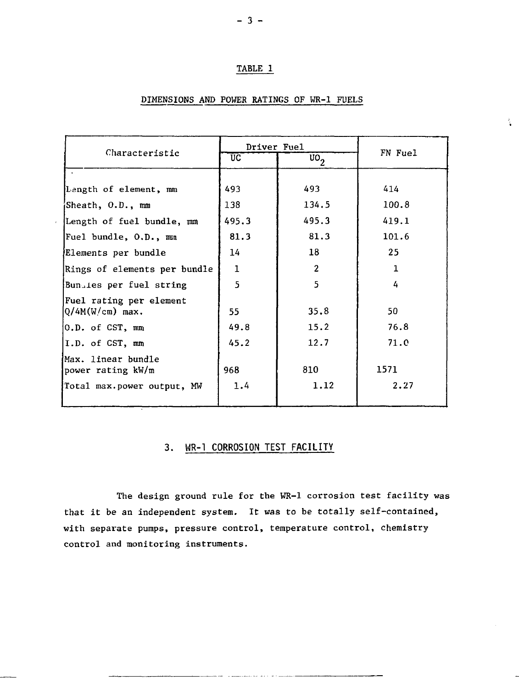#### TABLE 1

## DIMENSIONS AND POWER RATINGS OF WR-1 FUELS

 $\frac{2}{3}$ 

|                                              | Driver Fuel  |                  |         |
|----------------------------------------------|--------------|------------------|---------|
| Characteristic                               | ŪC.          | $\overline{u_0}$ | FN Fuel |
|                                              |              |                  |         |
| Length of element, mm                        | 493          | 493              | 414     |
| ¦Sheath, O.D., mm                            | 138          | 134.5            | 100.8   |
| Length of fuel bundle, mm                    | 495.3        | 495.3            | 419.1   |
| Fuel bundle, O.D., mun                       | 81.3         | 81.3             | 101.6   |
| Elements per bundle                          | 14           | 18               | 25      |
| Rings of elements per bundle                 | $\mathbf{1}$ | $\mathbf{r}$     | 1       |
| Bunsies per fuel string                      | 5            | 5                | 4       |
| Fuel rating per element<br>$Q/4M(W/cm)$ max. | 55.          | 35.8             | 50      |
| 0.D. of CST, mm                              | 49.8         | 15.2             | 76.8    |
| I.D. of CST, mm                              | 45.2         | 12.7             | 71.0    |
| Max. linear bundle<br>power rating kW/m      | 968          | 810              | 1571    |
| Total max.power output, MW                   | 1.4          | 1.12             | 2.27    |
|                                              |              |                  |         |

## **3. WR-1 CORROSION TEST FACILITY**

The design ground rule for the WR-1 corrosion test facility was that it be an independent system. It was to be totally self-contained, with separate pumps, pressure control, temperature control, chemistry control and monitoring instruments.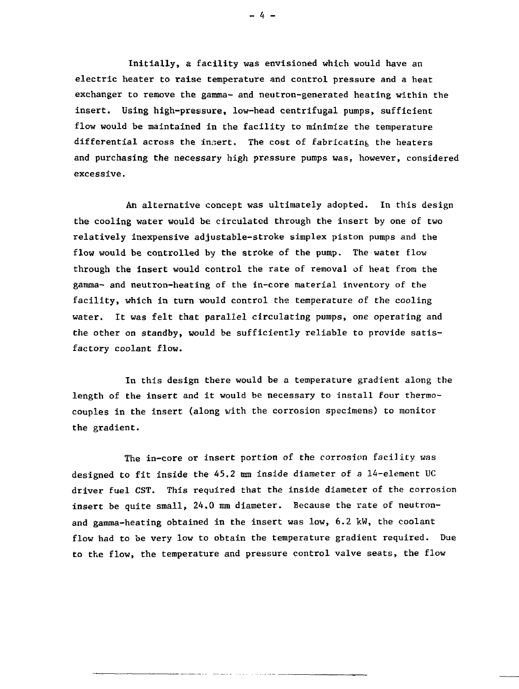Initially, a facility was envisioned which would have an electric heater to raise temperature and control pressure and a heat exchanger to remove the gamma- and neutron-generated heating within the insert. Using high-pressure, low-head centrifugal pumps, sufficient flow would be maintained in the facility to minimize the temperature differential across the insert. The cost of fabricating the heaters and purchasing the necessary high pressure pumps was, however, considered excessive.

An alternative concept was ultimately adopted. In this design the cooling water would be circulated through the insert by one of two relatively inexpensive adjustable-stroke simplex piston pumps and the flow would be controlled by the stroke of the pump. The water flow through the insert would control the rate of removal of heat from the gamma- and neutron-heating of the in-core material inventory of the facility, which in turn would control the temperature of the cooling water. It was felt that parallel circulating pumps, one operating and the other on standby, would be sufficiently reliable to provide satisfactory coolant flow.

In this design there would be a temperature gradient along the length of the insert and it would be necessary to install four thermocouples in the insert (along with the corrosion specimens) to monitor the gradient.

The in-core or insert portion of the corrosion facility was designed to fit inside the 45.2 mm inside diameter of a 14-element UC driver fuel CST. This required that the inside diameter of the corrosion insert be quite small, 24.0 mm diameter. Because the rate of neutronand gamma-heating obtained in the insert was low, 6.2 kW, the coolant flow had to be very low to obtain the temperature gradient required. Due to the flow, the temperature and pressure control valve seats, the flow

 $- 4 -$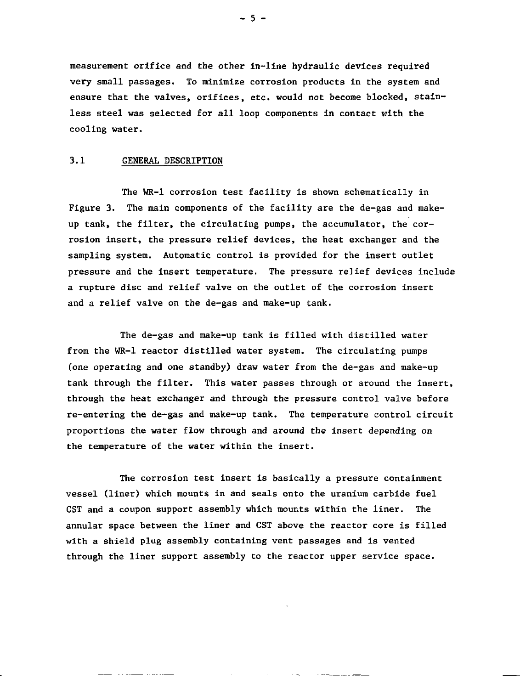measurement orifice and the other in-line hydraulic devices required very small passages. To minimize corrosion products in the system and ensure that the valves, orifices, etc. would not become blocked, stainless steel was selected for all loop components in contact with the cooling water.

#### 3.1 GENERAL DESCRIPTION

The WR-1 corrosion test facility is shown schematically in Figure 3. The main components of the facility are the de-gas and makeup tank, the filter, the circulating pumps, the accumulator, the corrosion insert, the pressure relief devices, the heat exchanger and the sampling system. Automatic control is provided for the insert outlet pressure and the insert temperature. The pressure relief devices include a rupture disc and relief valve on the outlet of the corrosion insert and a relief valve on the de-gas and make-up tank.

The de-gas and make-up tank is filled with distilled water from the WR-1 reactor distilled water system. The circulating pumps (one operating and one standby) draw water from the de-gas and make-up tank through the filter. This water passes through or around the insert, through the heat exchanger and through the pressure control valve before re-entering the de-gas and make-up tank. The temperature control circuit proportions the water flow through and around the insert depending on the temperature of the water within the insert.

The corrosion test insert is basically a pressure containment vessel (liner) which mounts in and seals onto the uranium carbide fuel CST and a coupon support assembly which mounts within the liner. The annular space between the liner and CST above the reactor core is filled with a shield plug assembly containing vent passages and is vented through the liner support assembly to the reactor upper service space.

 $-5 -$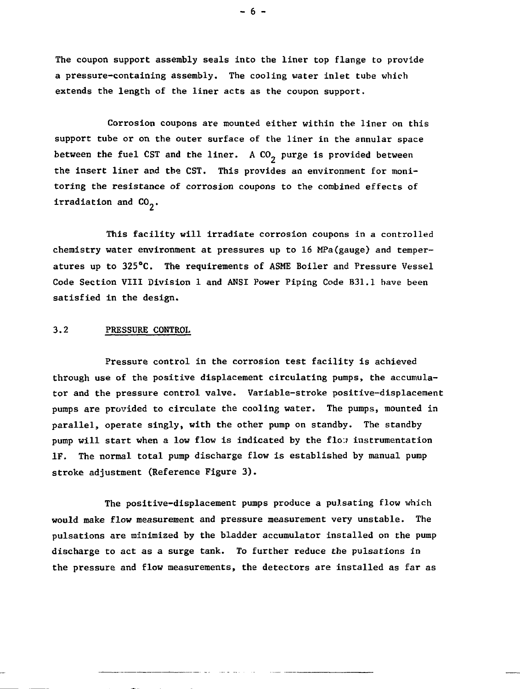The coupon support assembly seals into the liner top flange to provide a pressure-containing assembly. The cooling water inlet tube which extends the length of the liner acts as the coupon support.

Corrosion coupons are mounted either within the liner on this support tube or on the outer surface of the liner in the annular space between the fuel CST and the liner. A  $CO<sub>2</sub>$  purge is provided between the insert liner and the CST. This provides an environment for monitoring the resistance of corrosion coupons to the combined effects of irradiation and  $CO<sub>2</sub>$ .

This facility will irradiate corrosion coupons in a controlled chemistry water environment at pressures up to 16 MPa(gauge) and temperatures up to 325°C. The requirements of ASME Boiler and Pressure Vessel Code Section VIII Division 1 and ANSI Power Piping Code B31.1 have been satisfied in the design.

#### 3.2 PRESSURE CONTROL

Pressure control in the corrosion test facility is achieved through use of the positive displacement circulating pumps, the accumulator and the pressure control valve. Variable-stroke positive-displacement pumps are provided to circulate the cooling water. The pumps, mounted in parallel, operate singly, with the other pump on standby. The standby pump will start when a low flow is indicated by the flo:? instrumentation IF. The normal total pump discharge flow is established by manual pump stroke adjustment (Reference Figure 3).

The positive-displacement pumps produce a pulsating flow which would make flow measurement and pressure measurement very unstable. The pulsations are minimized by the bladder accumulator installed on the pump discharge to act as a surge tank. To further reduce the pulsations in the pressure and flow measurements, the detectors are installed as far as

 $- 6 -$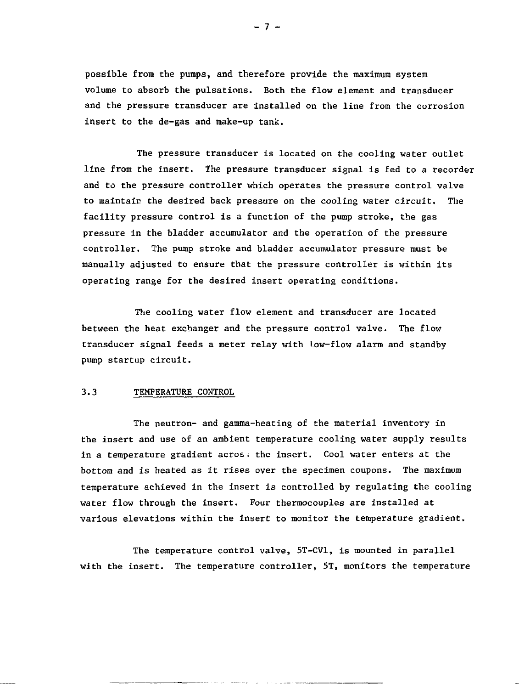possible from the pumps, and therefore provide the maximum system volume to absorb the pulsations. Both the flow element and transducer and the pressure transducer are installed on the line from the corrosion insert to the de-gas and make-up tank.

The pressure transducer is located on the cooling water outlet line from the insert. The pressure transducer signal is fed to a recorder and to the pressure controller which operates the pressure control valve to maintair the desired back pressure on the cooling water circuit. The facility pressure control is a function of the pump stroke, the gas pressure in the bladder accumulator and the operation of the pressure controller. The pump stroke and bladder accumulator pressure must be manually adjusted to ensure that the pressure controller is within its operating range for the desired insert operating conditions.

The cooling water flow element and transducer are located between the heat exchanger and the pressure control valve. The flow transducer signal feeds a meter relay with Low-flow alarm and standby pump startup circuit.

#### 3.3 TEMPERATURE CONTROL

The neutron- and gamma-heating of the material inventory in the insert and use of an ambient temperature cooling water supply results in a temperature gradient across the insert. Cool water enters at the bottom and is heated as it rises over the specimen coupons. The maximum temperature achieved in the insert is controlled by regulating the cooling water flow through the insert. Four thermocouples are installed at various elevations within the insert to monitor the temperature gradient.

The temperature control valve, 5T-CV1, is mounted in parallel with the insert. The temperature controller, 5T, monitors the temperature

 $-7 -$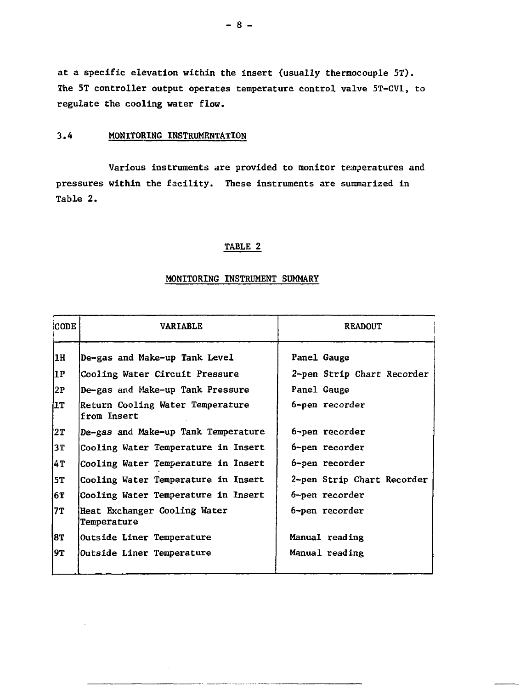at a specific elevation within the insert (usually thermocouple 5T). The 5T controller output operates temperature control valve 5T-CV1, to regulate the cooling water flow.

#### 3.4 MONITORING INSTRUMENTATION

Various instruments are provided to monitor temperatures and pressures within the facility. These instruments are summarized in Table 2.

### TABLE 2

#### **MONITORING INSTRUMENT SUMMARY**

| CODE | <b>VARTABLE</b>                                 | <b>READOUT</b>             |  |
|------|-------------------------------------------------|----------------------------|--|
| 1H   | De-gas and Make-up Tank Level                   | Panel Gauge                |  |
| 1P   | Cooling Water Circuit Pressure                  | 2-pen Strip Chart Recorder |  |
| 2P   | De-gas and Make-up Tank Pressure                | Panel Gauge                |  |
| l1T  | Return Cooling Water Temperature<br>from Insert | 6-pen recorder             |  |
| 2T   | De-gas and Make-up Tank Temperature             | 6-pen recorder             |  |
| 13T  | Cooling Water Temperature in Insert             | 6-pen recorder             |  |
| 4T   | Cooling Water Temperature in Insert             | 6-pen recorder             |  |
| 5T   | Cooling Water Temperature in Insert             | 2-pen Strip Chart Recorder |  |
| 6T   | Cooling Water Temperature in Insert             | 6-pen recorder             |  |
| 7T   | Heat Exchanger Cooling Water<br>Temperature     | 6-pen recorder             |  |
| 18 I | <b>Outside Liner Temperature</b>                | Manual reading             |  |
| 9T   | Outside Liner Temperature                       | Manual reading             |  |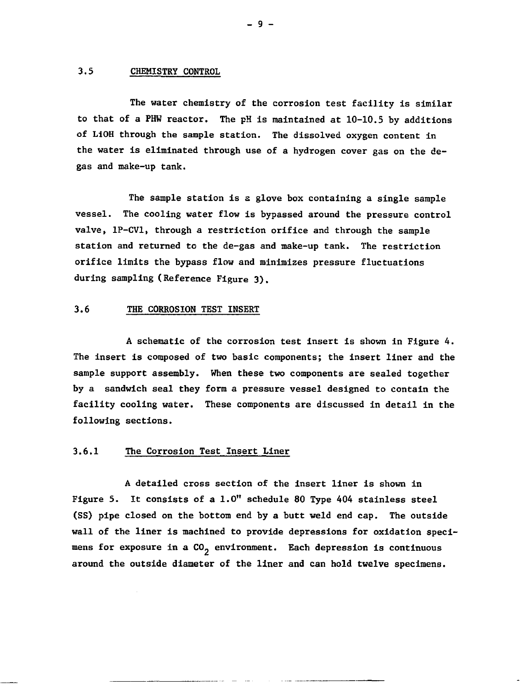#### 3.5 CHEMISTRY CONTROL

The water chemistry of the corrosion test facility is similar to that of a PHW reactor. The pH is maintained at 10-10.5 by additions of LiOH through the sample station. The dissolved oxygen content in the water is eliminated through use of a hydrogen cover gas on the degas and make-up tank.

The sample station is a glove box containing a single sample vessel. The cooling water flow is bypassed around the pressure control valve, 1P-CV1, through a restriction orifice and through the sample station and returned to the de-gas and make-up tank. The restriction orifice limits the bypass flow and minimizes pressure fluctuations during sampling (Reference Figure 3).

#### 3.6 THE CORROSION TEST INSERT

A schematic of the corrosion test insert is shown in Figure 4. The insert is composed of two basic components; the insert liner and the sample support assembly. When these two components are sealed together by a sandwich seal they form a pressure vessel designed to contain the facility cooling water. These components are discussed in detail in the following sections.

#### 3.6.1 The Corrosion Test Insert Liner

A detailed cross section of the insert liner is shown in Figure 5. It consists of a 1.0" schedule 80 Type 404 stainless steel (SS) pipe closed on the bottom end by a butt weld end cap. The outside wall of the liner is machined to provide depressions for oxidation specimens for exposure in a  $CO<sub>2</sub>$  environment. Each depression is continuous around the outside diameter of the liner and can hold twelve specimens.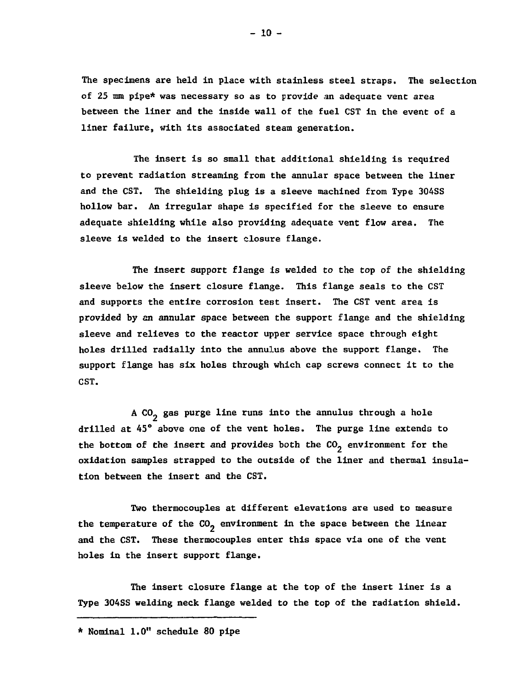The specimens are held in place with stainless steel straps. The selection of 25 mm pipe\* was necessary so as to provide an adequate vent area between the liner and the inside wall of the fuel CST in the event of a liner failure, with its associated steam generation.

The insert is so small that additional shielding is required to prevent radiation streaming from the annular space between the liner and the CST. The shielding plug is a sleeve machined from Type 304SS hollow bar. An irregular shape is specified for the sleeve to ensure adequate shielding while also providing adequate vent flow area. The sleeve is welded to the Insert closure flange.

The insert support flange is welded to the top of the shielding sleeve below the insert closure flange. This flange seals to the CST and supports the entire corrosion test insert. The CST vent area is provided by an annular space between the support flange and the shielding sleeve and relieves to the reactor upper service space through eight holes drilled radially into the annulus above the support flange. The support flange has six holes through which cap screws connect it to the CST.

A CO<sub>2</sub> gas purge line runs into the annulus through a hole drilled at 45° above one of the vent holes. The purge line extends to the bottom of the insert and provides both the  $CO<sub>2</sub>$  environment for the oxidation samples strapped to the outside of the liner and thermal insulation between the insert and the CST.

Two thermocouples at different elevations are used to measure the temperature of the  $CO<sub>2</sub>$  environment in the space between the linear and the CST. These thermocouples enter this space via one of the vent holes in the insert support flange.

The insert closure flange at the top of the insert liner is a Type 304SS welding neck flange welded to the top of the radiation shield.

<sup>\*</sup> Nominal 1.0" schedule 80 pipe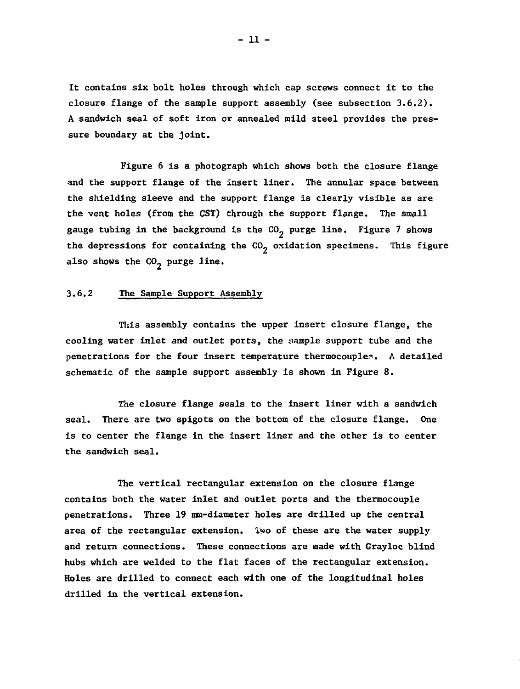lt contains six bolt holes through which cap screws connect it to the closure flange of the sample support assembly (see subsection 3.6.2). A sandwich seal of soft iron or annealed mild steel provides the pressure boundary at the joint.

Figure 6 is a photograph which shows both the closure flange and the support flange of the insert liner. The annular space between the shielding sleeve and the support flange is clearly visible as are the vent holes (from the CST) through the support flange. The small gauge tubing in the background is the  $CO<sub>2</sub>$  purge line. Figure 7 shows the depressions for containing the  $CO<sub>2</sub>$  oxidation specimens. This figure also shows the  $CO<sub>2</sub>$  purge line.

## 3.6.2 The Sample Support Assembly

This assembly contains the upper insert closure flange, the cooling water inlet and outlet ports, the sample support tube and the penetrations for the four insert temperature thermocouple?. A detailed schematic of the sample support assembly is shown in Figure 8.

The closure flange seals to the insert liner with a sandwich seal. There are two spigots on the bottom of the closure flange. One is to center the flange in the insert liner and the other is to center the sandwich seal.

The vertical rectangular extension on the closure flange contains both the water inlet and outlet ports and the thermocouple penetrations. Three 19 ma-diameter holes are drilled up the central area of the rectangular extension, ïwo of these are the water supply and return connections. These connections are made with Grayloc blind hubs which are welded to the flat faces of the rectangular extension. Holes are drilled to connect each with one of the longitudinal holes drilled in the vertical extension.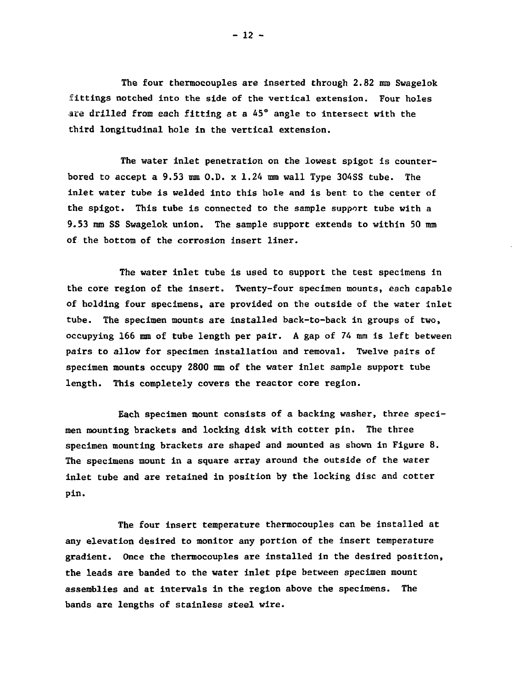**The four thermocouples are inserted through 2.82 mm Swagelok fittings notched into the side of the vertical extension. Four holes are drilled from each fitting at a 45° angle to intersect with the third longitudinal hole in the vertical extension.**

**The water inlet penetration on the lowest spigot is counterbored to accept a 9.53 mm O.D. x 1.24 mm wall Type 3O4SS tube. The inlet water tube is welded into this hole and is bent to the center of the spigot. This tube is connected to the sample support tube with a 9.53 mm SS Swagelok union. The sample support extends to within 50 mm of the bottom of the corrosion insert liner.**

**The water inlet tube is used to support the test specimens in the core region of the insert. Twenty-four specimen mounts, each capable of holding four specimens, are provided on the outside of the water inlet tube. The specimen mounts are installed back-to-back in groups of two, occupying 166 mm of tube length per pair. A gap of 74 mm is left between pairs to allow for specimen installation and removal. Twelve pairs of specimen mounts occupy 2800 mm of the water inlet sample support tube length. This completely covers the reactor core region.**

**Each specimen mount consists of a backing washer, three specimen mounting brackets and locking disk with cotter pin. The three specimen mounting brackets are shaped and mounted as shown in Figure 8. The specimens mount in a square array around the outside of the water inlet tube and are retained in position by the locking disc and cotter pin.**

**The four insert temperature thermocouples can be installed at any elevation desired to monitor any portion of the insert temperature gradient. Once the thermocouples are installed in the desired position, the leads are banded to the water inlet pipe between specimen mount assemblies and at intervals in the region above the specimens. The bands are lengths of stainless steel wire.**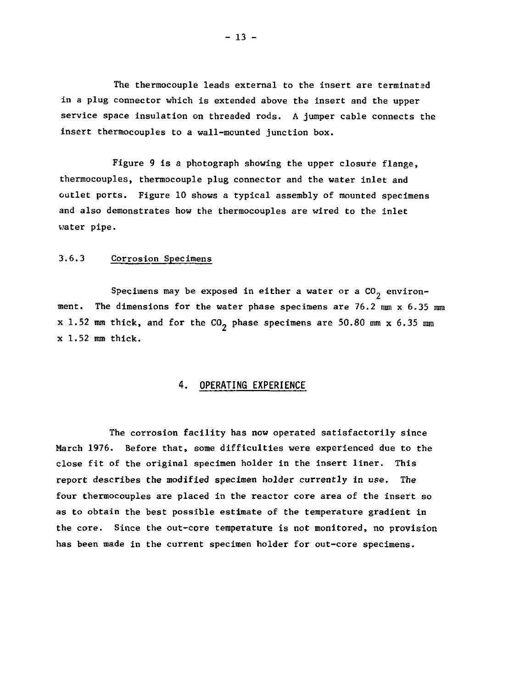The thermocouple leads external to the insert are terminated in a plug connector which is extended above the insert and the upper service space insulation on threaded rods. A jumper cable connects the insert thermocouples to a wall-mounted junction box.

Figure 9 is a photograph showing the upper closure flange, thermocouples, thermocouple plug connector and the water inlet and outlet ports. Figure 10 shows a typical assembly of mounted specimens and also demonstrates how the thermocouples are wired to the inlet water pipe.

## 3.6.3 Corrosion Specimens

Specimens may be exposed in either a water or a  $CO_2$  environment. The dimensions for the water phase specimens are 76.2 mm x 6.35 mm x 1.52 mm thick, and for the  $CO<sub>2</sub>$  phase specimens are 50.80 mm x 6.35 mm x 1.52 mm thick.

## **4. OPERATING EXPERIENCE**

The corrosion facility has now operated satisfactorily since March 1976. Before that, some difficulties were experienced due to the close fit of the original specimen holder in the insert liner. This report describes the modified specimen holder currently in use. The four thermocouples are placed in the reactor core area of the insert so as to obtain the best possible estimate of the temperature gradient in the core. Since the out-core temperature is not monitored, no provision has been made in the current specimen holder for out-core specimens.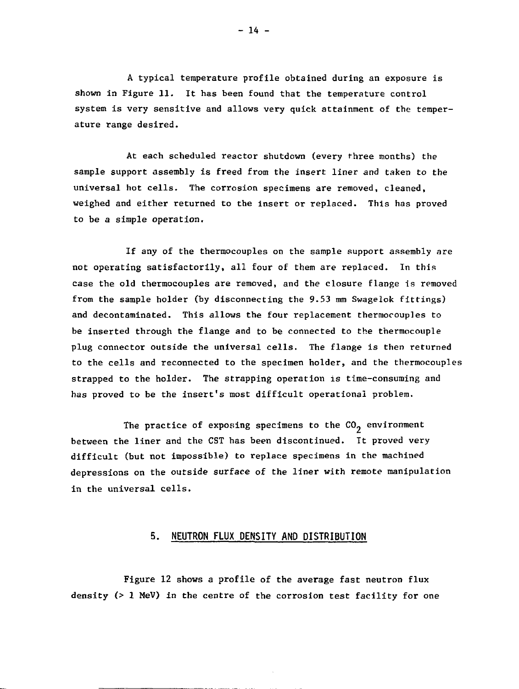A typical temperature profile obtained during an exposure is shown In Figure 11. It has been found that the temperature control system is very sensitive and allows very quick attainment of the temperature range desired.

At each scheduled reactor shutdown (every three months) the sample support assembly is freed from the insert liner and taken to the universal hot cells. The corrosion specimens are removed, cleaned, weighed and either returned to the insert or replaced. This has proved to be a simple operation.

If any of the thermocouples on the sample support assembly are not operating satisfactorily, all four of them are replaced. In this case the old thermocouples are removed, and the closure flange is removed from the sample holder (by disconnecting the 9.53 mm Swagelok fittings) and decontaminated. This allows the four replacement thermocouples to be inserted through the flange and to be connected to the thermocouple plug connector outside the universal cells. The flange is then returned to the cells and reconnected to the specimen holder, and the thermocouples strapped to the holder. The strapping operation is time-consuming and has proved to be the insert's most difficult operational problem.

The practice of exposing specimens to the  $CO<sub>2</sub>$  environment between the liner and the CST has been discontinued. It proved very difficult (but not impossible) to replace specimens in the machined depressions on the outside surface of the liner with remote manipulation in the universal cells.

#### **5. NEUTRON FLUX DENSITY AND DISTRIBUTION**

Figure 12 shows a profile of the average fast neutron flux density (> 1 MeV) in the centre of the corrosion test facility for one

 $-14 -$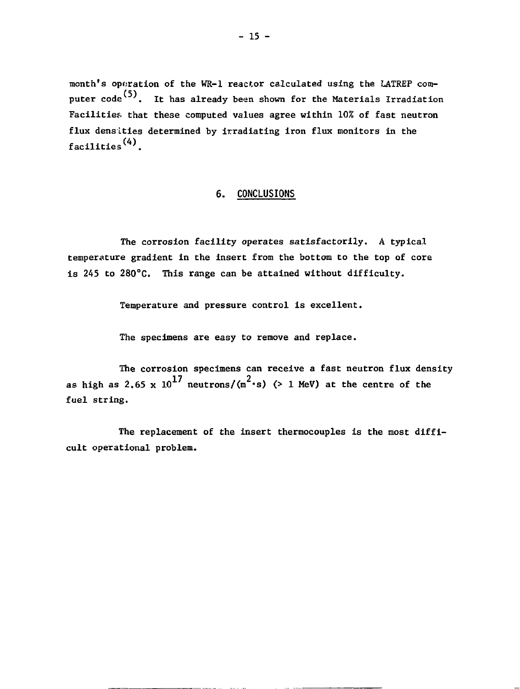month's operation of the WR-1 reactor calculated using the LATREP computer  $code^{(5)}$ . It has already been shown for the Materials Irradiation Facilities, that these computed values agree within 10% of fast neutron flux densities determined by irradiating iron flux monitors in the facilities(4).

## **6. CONCLUSIONS**

The corrosion facility operates satisfactorily. A typical temperature gradient in the insert from the bottom to the top of core is 245 to 280°C. This range can be attained without difficulty.

Temperature and pressure control is excellent.

The specimens are easy to remove and replace.

The corrosion specimens can receive a fast neutron flux density s 2.65 x  $10^{17}$  neutrons/(m<sup>2</sup> fuel string. as high as  $2.65 \times 10$  neutrons/ $\frac{m}{s}$  s/ $\frac{m}{s}$  inty) at the centre of the

The replacement of the insert thermocouples is the most difficult operational problem.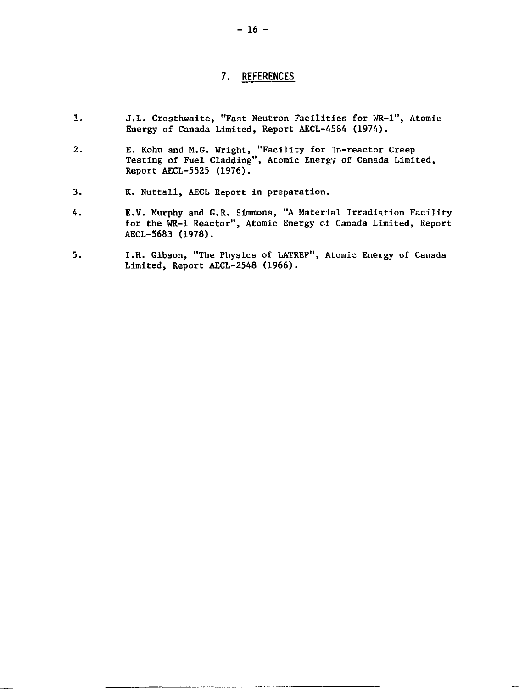## **7. REFERENCES**

- 1. J.L. Crosthwaite, "Fast Neutron Facilities for WR-1", Atomic Energy of Canada Limited, Report AECL-4584 (1974).
- 2. E. Kohn and M.G. Wright, "Facility for :tn-reactor Creep Testing of Fuel Cladding", Atomic Energy of Canada Limited, Report AECL-5525 (1976).
- 3. K. Nuttall, AECL Report in preparation.
- 4. E.V. Murphy and G.R. Simmons, "A Material Irradiation Facility for the WR-1 Reactor", Atomic Energy of Canada Limited, Report AECL-5683 (1978).
- 5. I.H. Gibson, "The Physics of LATREP", Atomic Energy of Canada Limited, Report AECL-2548 (1966).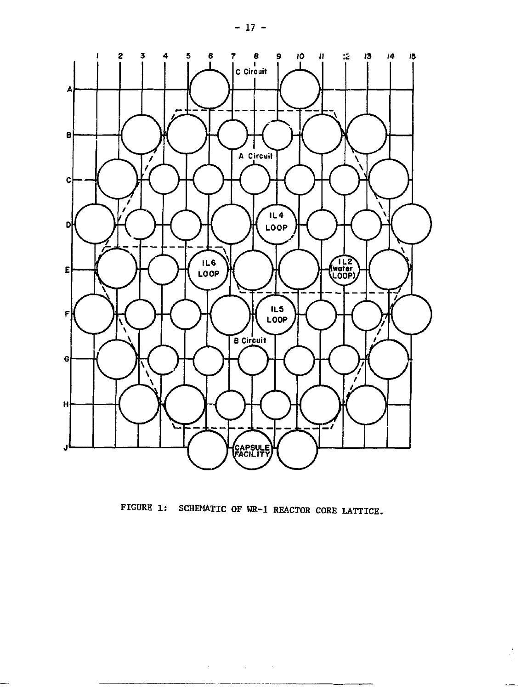

FIGURE 1: SCHEMATIC OF WR-1 REACTOR CORE LATTICE.

 $\label{eq:2.1} \mathcal{L}(\mathcal{A}) = \mathcal{L}(\mathcal{A}) = \mathcal{L}(\mathcal{A}) = \mathcal{L}(\mathcal{A}) = \mathcal{L}(\mathcal{A})$ 

 $\frac{1}{2}$ 

- 17 -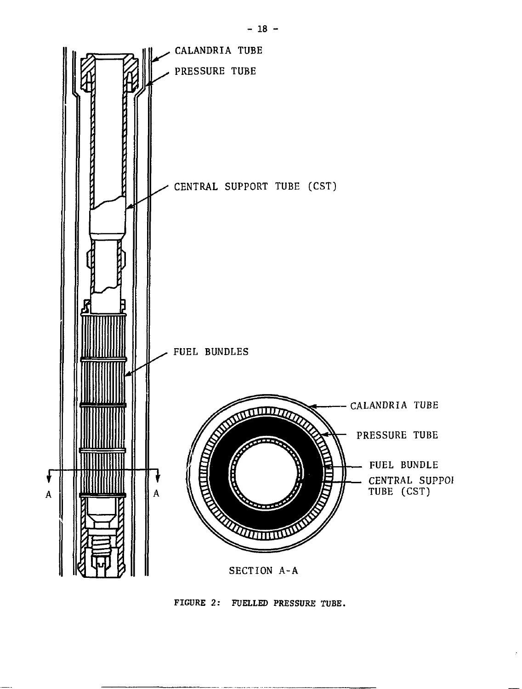

FIGURE 2: FUELLED PRESSURE TUBE.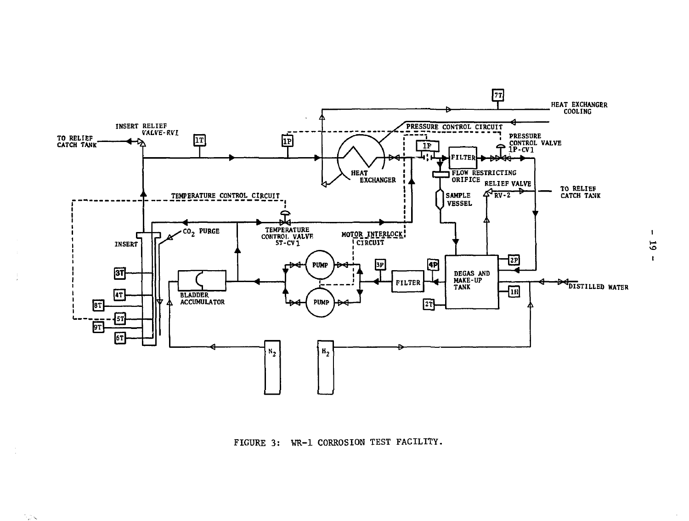

FIGURE 3: WR-1 CORROSION TEST FACILITY.

÷.

**NA** 

 $\mathbf{r}$  $\overline{5}$  $\mathbf{r}$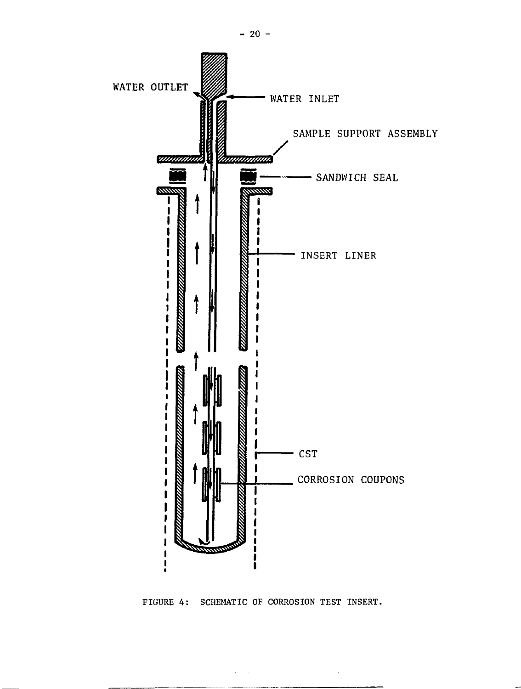

FIGURE 4: SCHEMATIC OF CORROSION TEST INSERT.

 $\mathcal{L}$ 

 $- 20 -$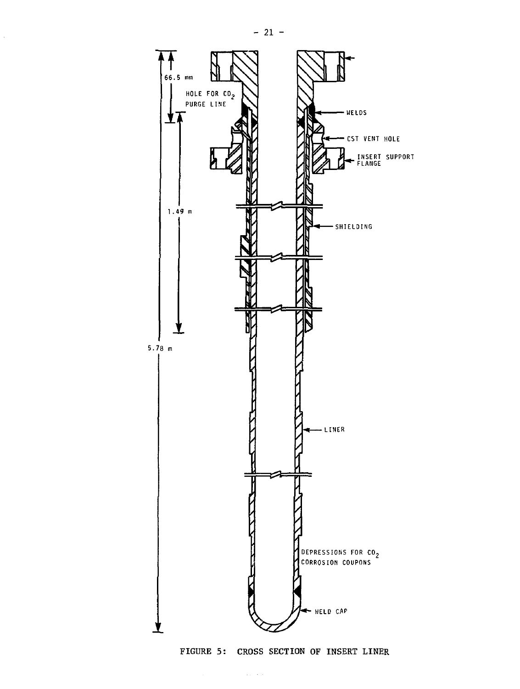$\bar{z}$ 



FIGURE 5: CROSS SECTION OF INSERT LINER

 $\mathcal{A}^{\mathcal{A}}_{\mathcal{A}}$  and  $\mathcal{A}^{\mathcal{A}}_{\mathcal{A}}$  are the contributions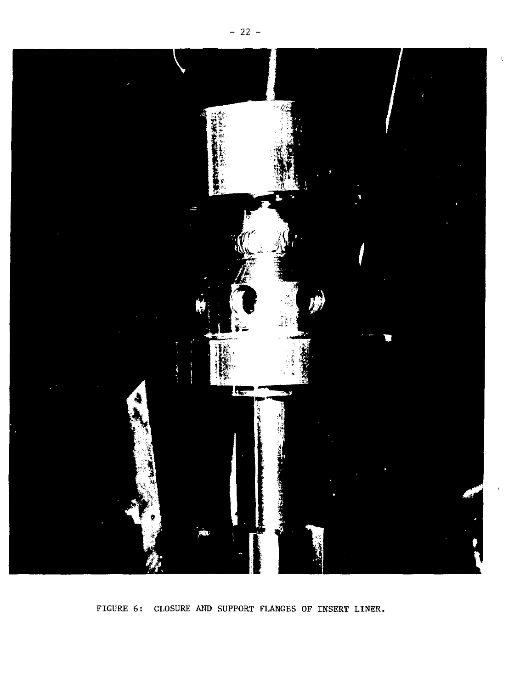

FIGURE 6: CLOSURE AND SUPPORT FLANGES OF INSERT LINER.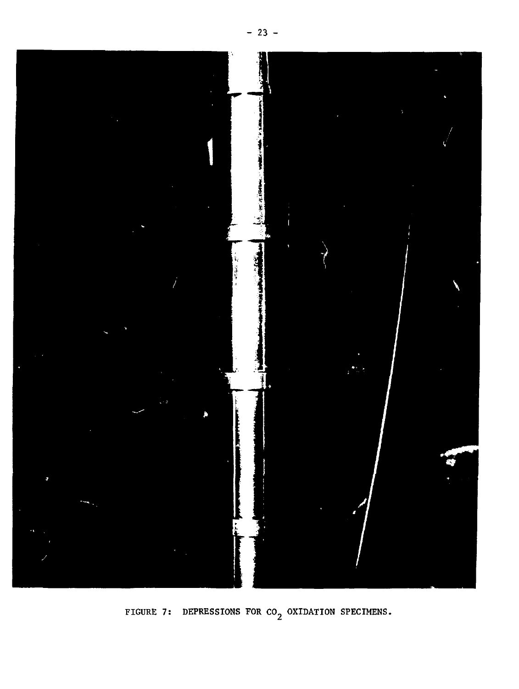

FIGURE 7: DEPRESSIONS FOR  $co<sub>2</sub>$  OXIDATION SPECIMENS.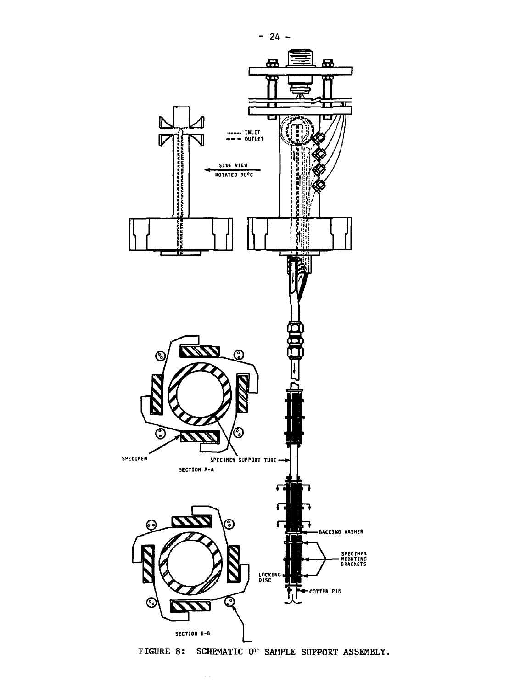

**FIGURE 8: SCHEMATIC OF SAMPLE SUPPORT ASSEMBLY.**

**- 24 -**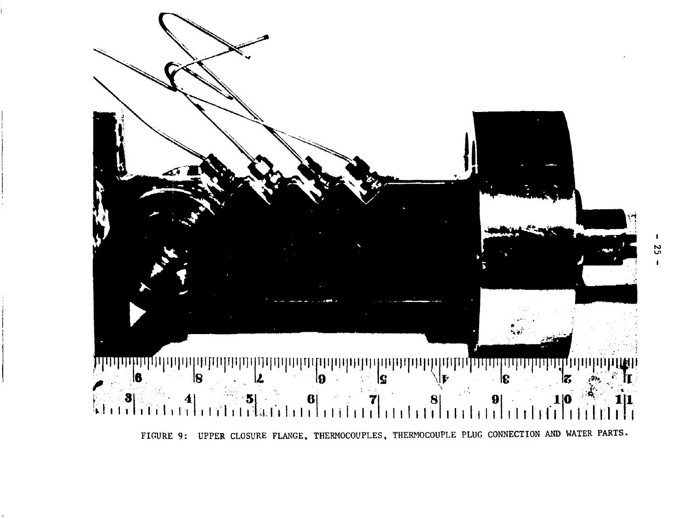

Ω,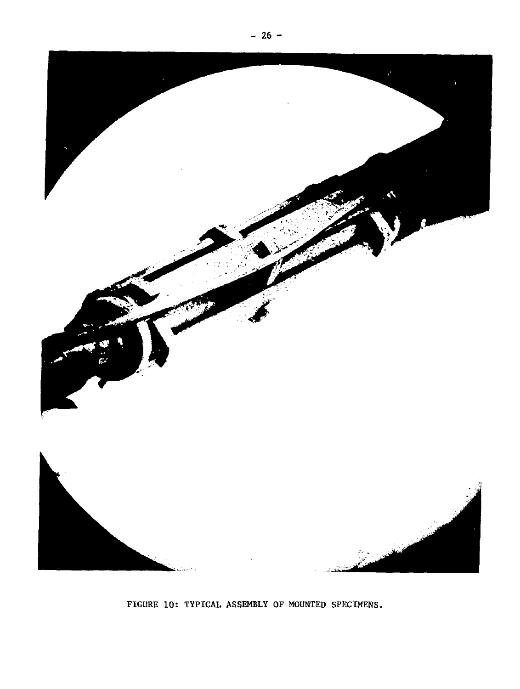

FIGURE 10: TYPICAL ASSEMBLY OF MOUNTED SPECIMENS.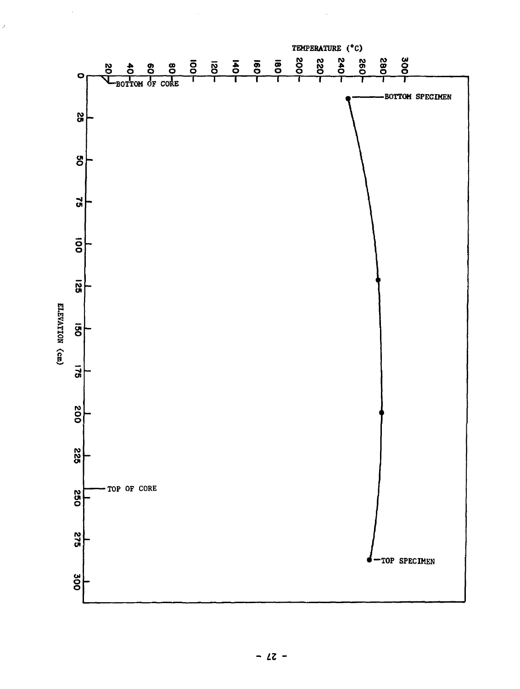

 $\hat{\vec{J}}$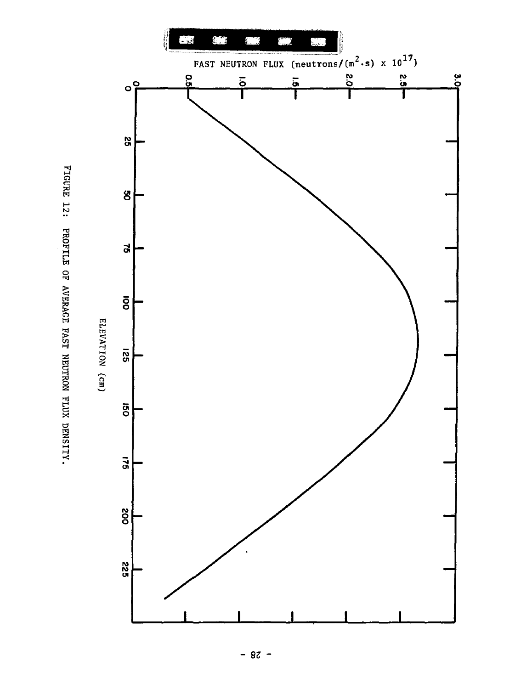

.<br>د **1** H f **I**<br>**I**<br> **I 11014**  $\geq$ ă